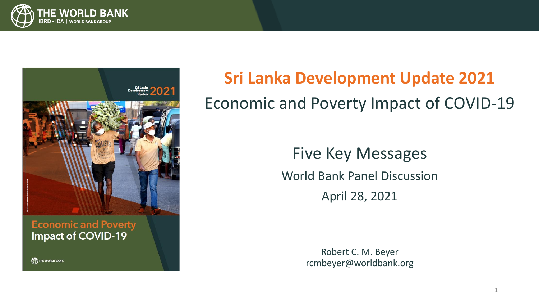



### **Economic and Poverty Impact of COVID-19**

THE WORLD BANK

# **Sri Lanka Development Update 2021** Economic and Poverty Impact of COVID-19

## Five Key Messages

World Bank Panel Discussion

April 28, 2021

Robert C. M. Beyer rcmbeyer@worldbank.org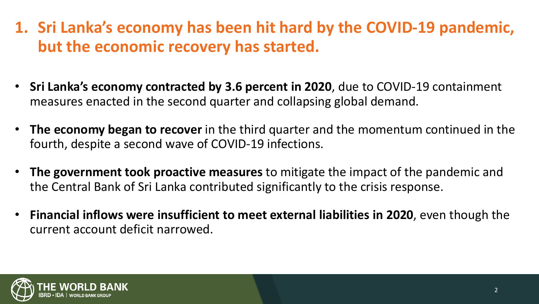- **1. Sri Lanka's economy has been hit hard by the COVID-19 pandemic, but the economic recovery has started.**
- **Sri Lanka's economy contracted by 3.6 percent in 2020**, due to COVID-19 containment measures enacted in the second quarter and collapsing global demand.
- **The economy began to recover** in the third quarter and the momentum continued in the fourth, despite a second wave of COVID-19 infections.
- **The government took proactive measures** to mitigate the impact of the pandemic and the Central Bank of Sri Lanka contributed significantly to the crisis response.
- **Financial inflows were insufficient to meet external liabilities in 2020**, even though the current account deficit narrowed.

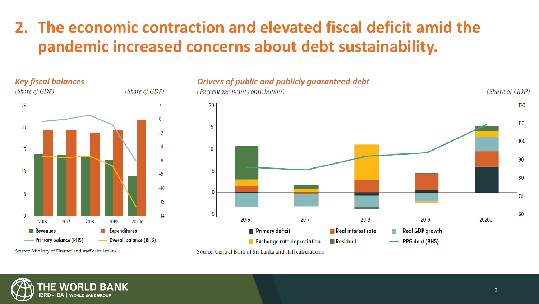## **2. The economic contraction and elevated fiscal deficit amid the pandemic increased concerns about debt sustainability.**



#### *Key fiscal balances Drivers of public and publicly guaranteed debt*



Source: Ministry of Finance and staff calculations.



Source: Central Bank of Sri Lanka and staff calculations.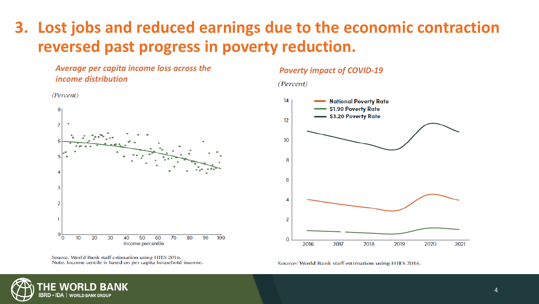## **3. Lost jobs and reduced earnings due to the economic contraction reversed past progress in poverty reduction.**





#### *Poverty impact of COVID-19*

#### (Percent)



Source: World Bank staff estimation using HIES 2016. Note: Income centile is based on per capita household income.

Source: World Bank staff estimation using HIES 2016.

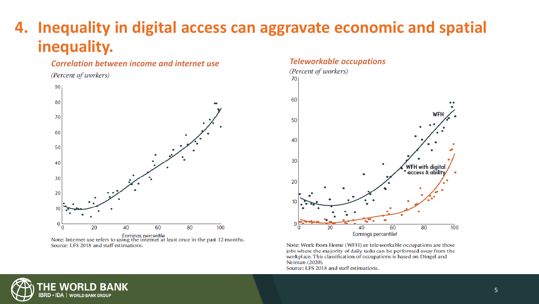## **4. Inequality in digital access can aggravate economic and spatial inequality.**

## **Correlation between income and internet use** *Teleworkable**occupations (Percent of workers)*





Earnings percentile<br>Note: Internet use refers to using the internet at least once in the past 12 months. Source: LFS 2018 and staff estimations.



Note: Work from Home (WFH) or tele-workable occupations are those jobs where the majority of daily tasks can be performed away from the workplace. This classification of occupations is based on Dingel and Neiman (2020).

Source: LFS 2018 and staff estimations.

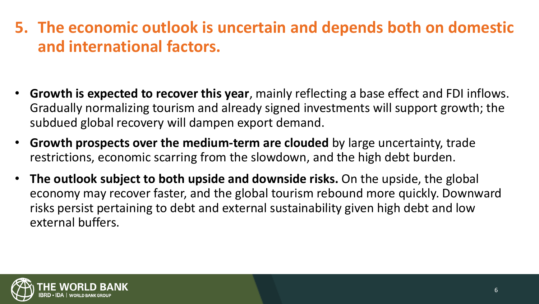## **5. The economic outlook is uncertain and depends both on domestic and international factors.**

- **Growth is expected to recover this year**, mainly reflecting a base effect and FDI inflows. Gradually normalizing tourism and already signed investments will support growth; the subdued global recovery will dampen export demand.
- **Growth prospects over the medium-term are clouded** by large uncertainty, trade restrictions, economic scarring from the slowdown, and the high debt burden.
- **The outlook subject to both upside and downside risks.** On the upside, the global economy may recover faster, and the global tourism rebound more quickly. Downward risks persist pertaining to debt and external sustainability given high debt and low external buffers.